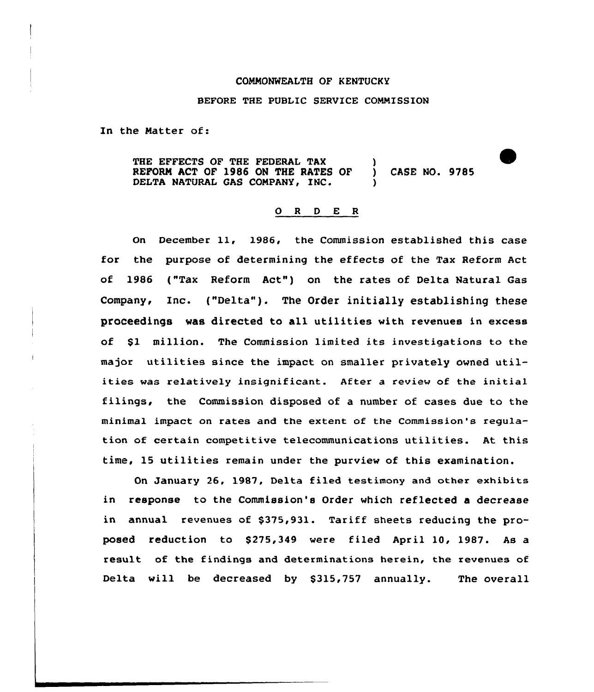## COMMONWEALTH OF KENTUCKY

## BEFORE THE PUBLIC SERVICE COMMISSION

In the Matter of:

THE EFFECTS OF THE FEDERAL TAX (1) REFORM ACT OF 1986 ON THE RATES OF ) CASE NO. 9785 DELTA NATURAL GAS COMPANY, INC.

## 0 <sup>R</sup> <sup>D</sup> E <sup>R</sup>

On December ll, 1986, the Commission established this case for the purpose of determining the effects of the Tax Reform Act of'986 ("Tax Reform Act") on the rates of Delta Natural Gas Company, Inc. ("Delta"). The Order initially establishing these proceedings was directed to all utilities with revenues in excess of Sl million. The Commission limited its investigations to the major utilities since the impact on smaller privately owned utilities was relatively insignificant. After <sup>a</sup> review of the initial filings, the Commission disposed of a number of cases due to the minimal impact on rates and the extent of the Commission's regulation of certain competitive telecommunications utilities. At this time, 15 utilities remain under the purview of this examination.

On January 26, 1987, Delta filed testimony and other exhibits in response to the Commission's Order which reflected a decrease in annual revenues of \$375,931. Tariff sheets reducing the proposed reduction to 8275,349 were filed April 10, 1987. As a result of the findings and determinations herein, the revenues of Delta will be decreased by \$315,757 annually. The overall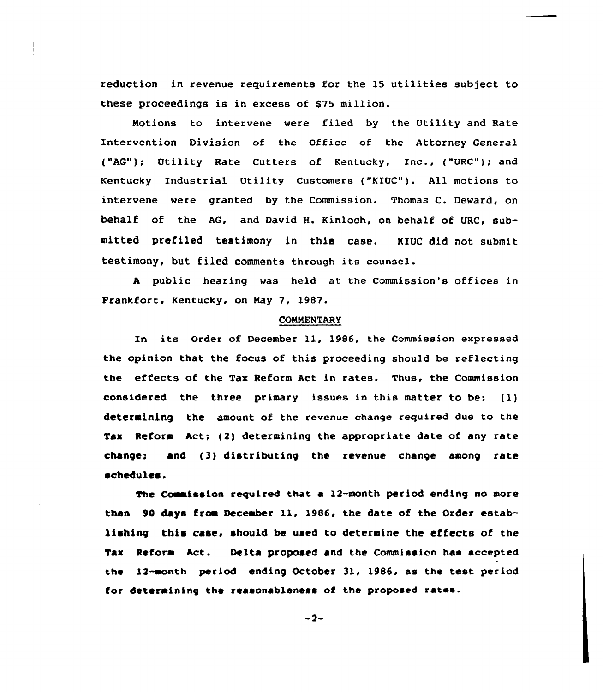reduction in revenue requirements for the 15 utilities subject to these proceedings is in excess of \$75 million.

Notions to intervene vere filed by the Utility and Rate Intervention Division of the Office of the Attorney General ("AG"); Utility Rate Cutters of Kentucky, Inc., ("URC"); and Kentucky Industrial Utility Customers ("KIUC"). All motions to intervene were granted by the Commission. Thomas C. Deward, on behalf of the AG, and David H. Kinloch, on behalf of URC, submitted prefiled testimony in this case. KIUC did not submit testimony, but filed comments through its counsel.

<sup>A</sup> public hearing vas held at the Commission's offices in Frankfort, Kentucky, on Nay 7, 1987.

# **COMMENTARY**

In its Order of December ll, 1986, the Commission expressed the opinion that the focus of this proceeding should be reflecting the eftects of the Tax Reform Act in rates. Thus, the Commission considered the three primary issues in this matter to be: (1) determining the amount of the revenue change required due to the Tax Reform Act; (2) determining the appropriate date of any rate change; and (3) distributing the revenue change among rate schedules.

The Commission required that a  $12$ -month period ending no more than 90 days from December 11, 1986, the date of the Order establishing this case, should be used to determine the effects of the Tax Reform Act. Oelta proposed and the Commission has accepted the 12-month period ending October 3l, 1986, as the test period for determining the reasonableness ot the proposed rates.

 $-2-$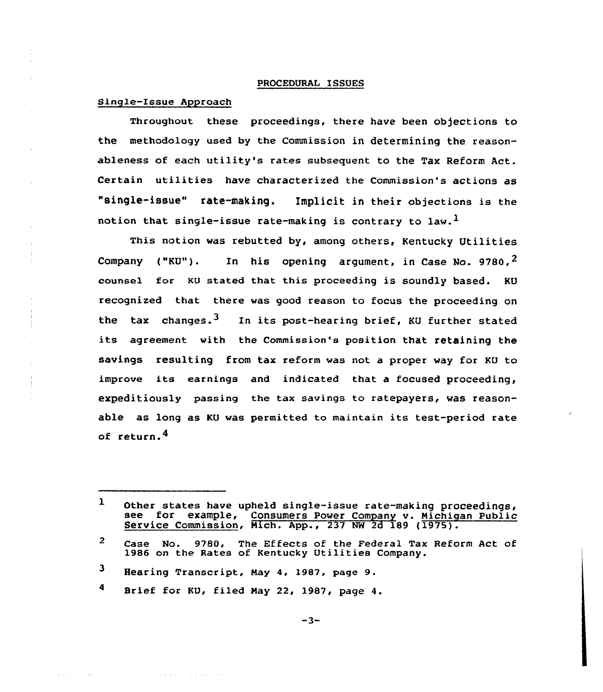## PROCEDURAL ISSUES

# Single-Issue Approach

Throughout these proceedings, there have been objections to the methodology used by the Commission in determining the reasonableness of each utility's rates subsequent to the Tax Reform Act. Certain utilities have characterized the Commission's actions as "single-issue" rate-making. Implicit in their objections is the notion that single-issue rate-making is contrary to law.<sup>1</sup>

This notion was rebutted by, among others, Kentucky Utilities Company ("KU"). In his opening argument, in Case No.  $9780.2$ counse1 for KU stated that this proceeding is soundly based. KU recognized that there was good reason to focus the proceeding on the tax changes.<sup>3</sup> In its post-hearing brief, KU further stated its agreement with the Commission's position that retaining the savings resulting from tax reform was not a proper way for KU to improve its earnings and indicated that a focused proceeding, expeditiously passing the tax savings to ratepayers, was reasonable as long as KU was permitted to maintain its test-period rate of return.<sup>4</sup>

**Carl Carl** 

and a series

 $-3-$ 

 $\mathbf{1}$ Other states have upheld single-issue rate-making proceedings, see for example, Consumers Power Company v. Michigan Public Service Commission, Mich. App., 237 NW 2d 189 (1975).

 $\overline{2}$ Case No. 9780, The Effects of the Federal Tax Reform Act of 1986 on the Rates of Kentucky Utilities Company.

 $\mathbf{3}$ Hearing Transcript, May 4, 1987, page 9.

 $\ddot{\mathbf{4}}$ Brief for KU, filed Nay 22, 1987, page 4.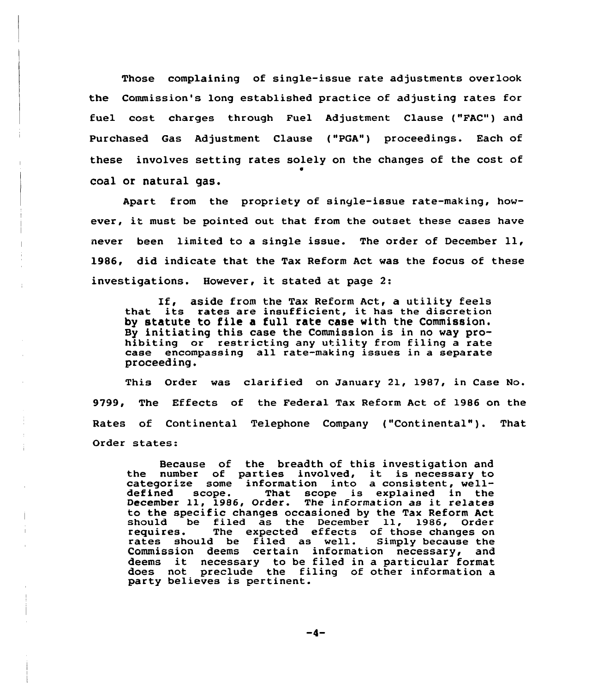Those complaining of single-issue rate adjustments overlook the Commission's long established practice of adjusting rates for fuel cost charges through Fuel Adjustment Clause ("FAC") and Purchased Gas Adjustment Clause ("PGA") proceedings. Each of these involves setting rates solely on the changes of the cost of 0 coal or natural gas.

Apart from the propriety of single-issue rate-making, however, it must be pointed out that from the outset these cases have never been limited to <sup>a</sup> single issue. The order of December ll, 1986, did indicate that the Tax Reform Act was the focus of these investigations. However, it stated at page 2:

If, aside from the Tax Reform Act, <sup>a</sup> utility feels that its rates are insufficient, it has the discretion by statute to file a full rate case with the Commission, By initiating this case the Commission is in no way prohibiting or restricting any utility from filing a rate case encompassing all rate-making issues in a separate proceeding.

This Order was clarified on January 21, 1987, in Case No. 9799, The Effects of the Federal Tax Reform Act of 1986 on the Rates of Continental Telephone Company ("Continental"). That Order states:

Because of the breadth of this investigation and the number of parties involved, it is necessary to categorize some information into <sup>a</sup> consistent, welldefined scope. That scope is explained in the December ll, 1986, Order. The information as it relates to the specific changes occasioned by the Tax Reform Act should be filed as the December 11, 1986, Order The expected effects of those changes on<br>I be filed as well. Simply because the rates should be filed as well. Commission deems certain information necessary, and Commission deems certain information necessary, and<br>deems it necessary to be filed in a particular forma does not preclude the filing of other information a party believes is pertinent.

-4-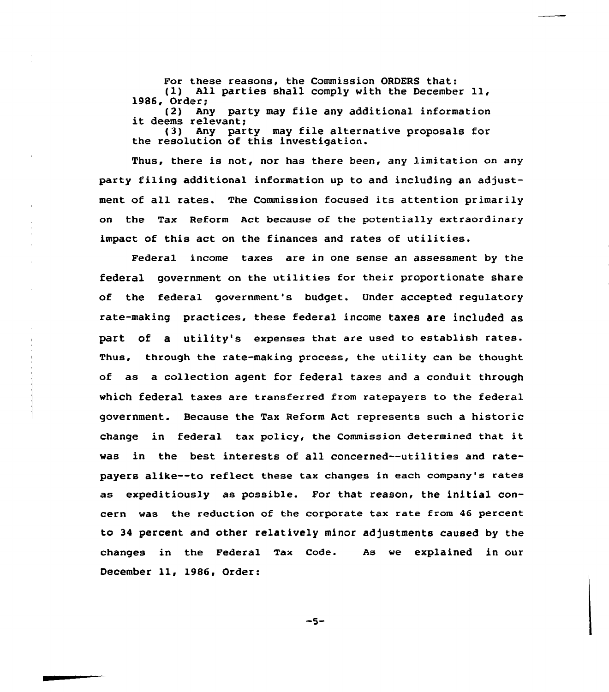For these reasons, the Commission ORDERS that: (1) All parties shall comply with the December ll, 1986, Order; (2) Any party may file any additional information it deems relevant; (3) Any party may file alternative proposals for the resolution of this investigation.

Thus, there is not, nor has there been, any limitation on any party filing additional information up to and including an adjustment of all rates. The Commission focused its attention primarily on the Tax Reform Act because of the potentially extraordinary impact of this act on the finances and rates of utilities.

Federal income taxes are in one sense an assessment by the federal government on the utilities for their proportionate share of the federal government's budget. Under accepted regulatory rate-making practices, these federal income taxes are included as part Of a utility's expenses that are used to establish rates. Thus, through the rate-making process, the utility can be thought of as a collection agent for federal taxes and a conduit through which federal taxes are transferred from ratepayers to the federal government. Because the Tax Reform Act represents such a historic change in federal tax policy, the Commission determined that it was in the best interests of all concerned--utilities and ratepayers alike--to reflect these tax changes in each company's rates as expeditiously as possible. For that reason, the initial concern was the reduction of the corporate tax rate from 46 percent to 34 percent and other relatively minor adjustments caused by the changes in the Federal Tax Code. As we explained in our December ll, 1986, Order:

 $-5-$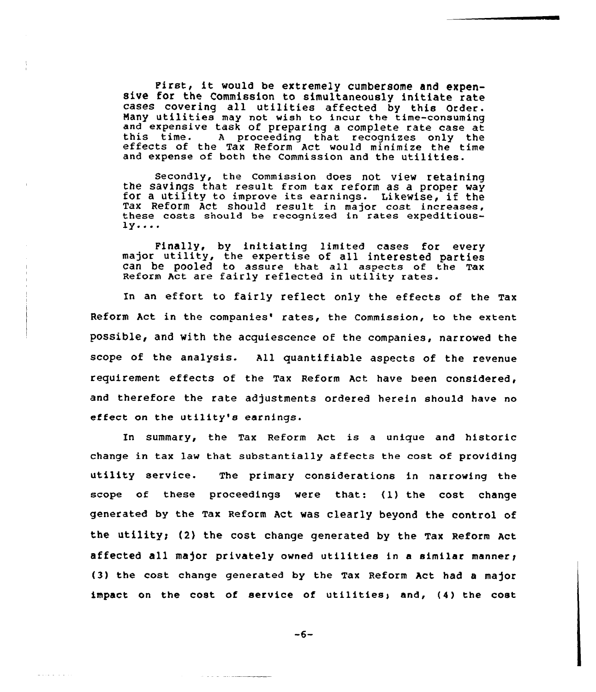First, it would be extremely cumbersome and expen- sive for the Commission to simultaneously initiate rate cases covering all utilities affected by this Order. Many utilities may not wish to incur the time-consuming and expensive task of preparing a complete rate case at this time. A proceeding that recognizes only the effects of the Tax Reform Act would minimize the time and expense of both the Commission and the utilities.

Secondly, the Commission does not view retaining the savings that result from tax reform as <sup>a</sup> proper way for <sup>a</sup> utility to improve its earnings. Likewise, if the Tax Reform Act should result in major cost increases, these costs should be recognized in rates expeditious- $1y...$ 

Finally, by initiating limited cases for every major utility, the expertise of all interested parties can be pooled to assure that all aspects of the Tax Reform Act are fairly reflected in utility rates.

In an effort to fairly reflect only the effects of the Tax Reform Act in the companies' rates, the Commission, to the extent possible, and with the acquiescence of the companies, narrowed the scope of the analysis. All quantifiable aspects of the revenue requirement effects of the Tax Reform Act have been considered, and therefore the rate adjustments ordered herein should have no effect on the utility's earnings.

In summary, the Tax Reform Act is <sup>a</sup> unique and historic change in tax law that substantially affects the cost of providing utility service. The primary considerations in narrowing the scope of these proceedings were that: (1) the cost change generated by the Tax Reform Act was clearly beyond the control of the utility; (2) the cost change generated by the Tax Reform Act affected all major privately owned utilities in a similar manner; (3) the cost change generated by the Tax Reform Act had a major impact on the cost of service of utilities; and, (4) the cost

-6-

 $\omega_{\alpha} = \omega_{\alpha} + \omega_{\alpha} + \omega_{\alpha} + \omega_{\alpha} + \omega_{\alpha} + \omega_{\alpha} + \omega_{\alpha} + \omega_{\alpha} + \omega_{\alpha} + \omega_{\alpha} + \omega_{\alpha} + \omega_{\alpha} + \omega_{\alpha} + \omega_{\alpha} + \omega_{\alpha} + \omega_{\alpha} + \omega_{\alpha} + \omega_{\alpha} + \omega_{\alpha} + \omega_{\alpha} + \omega_{\alpha} + \omega_{\alpha} + \omega_{\alpha} + \omega_{\alpha} + \omega_{\alpha} + \omega_{\alpha} + \omega_{\alpha} + \omega_{\alpha} + \omega_{\alpha} + \omega_{\alpha} + \omega_{$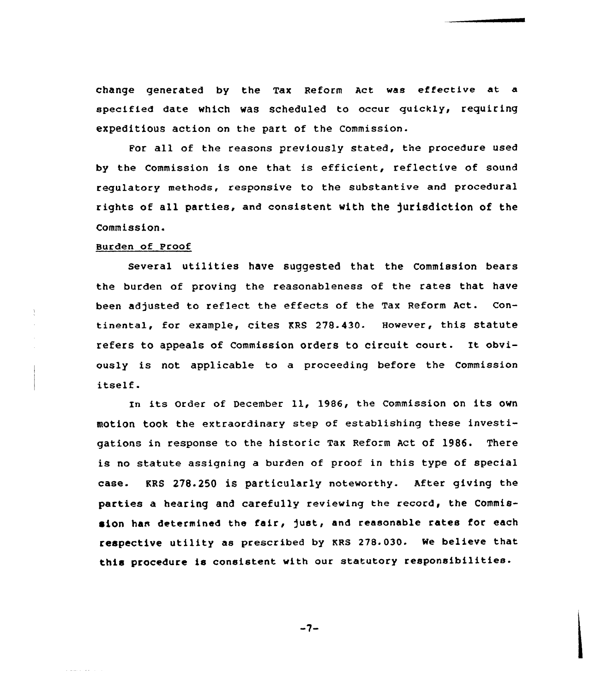change generated by the Tax Reform Act was effective at a specified date which was scheduled to occur guickly, requiring expeditious action on the part of the Commission.

For all of the reasons previously stated, the procedure used by the Commission is one that is efficient, reflective of sound regulatory methods, responsive to the substantive and procedural rights of all parties, and consistent with the jurisdiction of the Commission.

# Burden of Proof

a and control

Several utilities have suggested that the Commission bears the burden of proving the reasonableness of the rates that have been adjusted to reflect the effects of the Tax Reform Act. Continental, for example, cites KRS 278.430. However, this statute refers to appeals of Commission orders to circuit court. It obviously is not applicable to a proceeding before the Commission itself.

In its Order of December 11, 1986, the Commission on its own motion took the extraordinary step of establishing these investigations in response to the historic Tax Reform Act Of 1986. There is no statute assigning a burden of proof in this type of special case- KRS 278.250 iS particularly noteworthy. After giving the parties a hearing and carefully reviewing the record, the Commission has determined the fair, just, and reasonable rates for each respective utility as prescribed by KRs 278.030. we believe that this procedure is consistent with our statutory responsibilities.

 $-7-$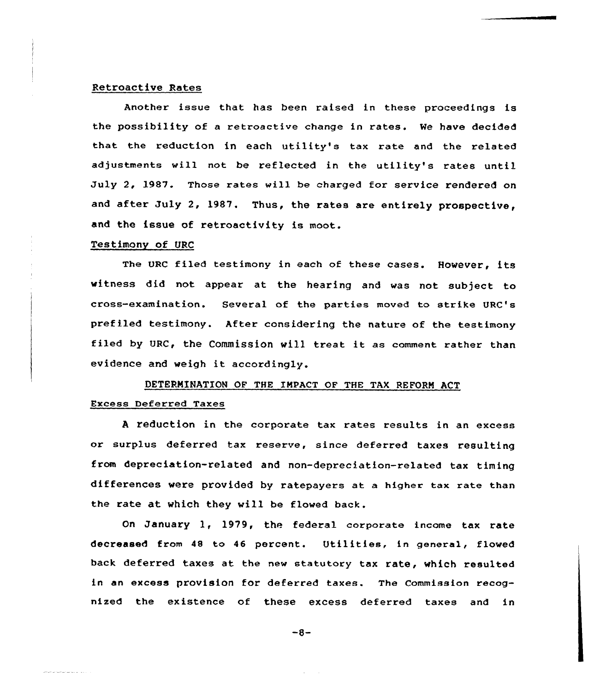# Retroactive Rates

Another issue that has been raised in these proceedings is the possibility of a retroactive change in rates. We have decided that the reduction in each utility's tax rate and the related adjustments will not be reflected in the utility's rates until July 2, 1987. Those rates will be charged for service rendered on and after July 2, l987. Thus, the rates are entirely prospective, and the issue of retroactivity is moot.

## Testimony of URC

The URC filed testimony in each of these cases. However, its witness did not appear at the hearing and was not subject to cross-examination. Several of the parties moved to strike URC's prefiled testimony. After considering the nature of the testimany filed by URC, the Commission will treat it as comment rather than evidence and weigh it accordingly.

# DETERMINATlON OF THE IMPACT OF THE TAX REPORN ACT Excess Deferred Taxes

<sup>A</sup> reduction in the corporate tax rates results in an excess or surplus deferred tax reserve, since deferred taxes resulting from depreciation-related and non-depreciation-related tax timing differences were provided by ratepayers at a higher tax rate than the rate at which they will be flowed back.

On January 1, 1979, the federal corporate income tax rate decreased from 48 to 46 percent. Utilities, in general, flowed back deferred taxes at the new statutory tax rate, which resulted in an excess provision for deferred taxes. The Commission recognized the existence of these excess deferred taxes and in

 $-8-$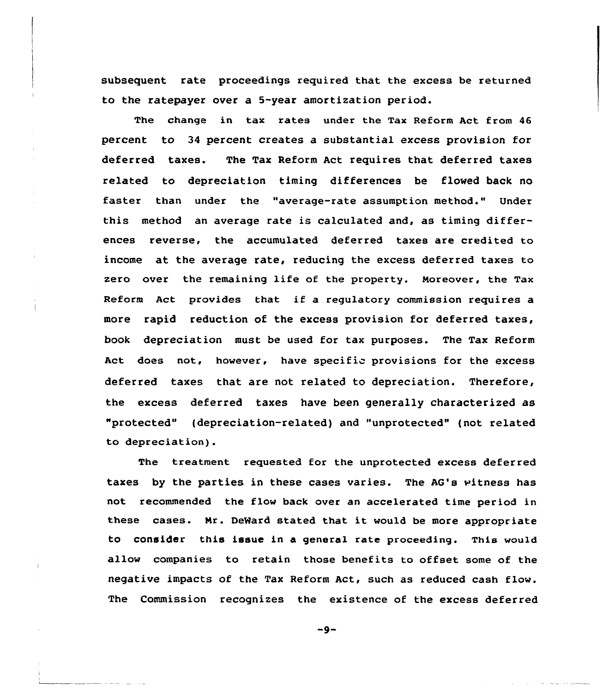subsequent rate proceedings required that the excess be returned to the ratepayer over a 5-year amortization period.

The change in tax rates under the Tax Reform Act from 46 percent to 34 percent creates a substantial excess provision for deferred taxes. The Tax Reform Act requires that deferred taxes related to depreciation timing differences be flowed back no faster than under the "average-rate assumption method." Under this method an average rate is calculated and, as timing differences reverse, the accumulated deferred taxes are credited to income at the average rate, reducing the excess deferred taxes to zero over the remaining life of the property. Moreover, the Tax Reform Act provides that if a regulatory commission requires a more rapid reduction of the excess provision for deferred taxes, book depreciation must be used for tax purposes. The Tax Reform Act does not, however, have specific provisions for the excess deferred taxes that are not related to depreciation. Therefore, the excess deferred taxes have been generally characterized as "protected" (depreciation-related) and "unprotected" (not related to depreciation).

The treatment requested for the unprotected excess deferred taxes by the parties in these cases varies. The AG's witness has not recommended the flow back over an accelerated time period in these cases. Nr. DeMard stated that it would be more appropriate to consider this issue in a general rate proceeding. This would allow companies to retain those benefits to offset some of the negative impacts of the Tax Reform Act, such as reduced cash flow. The Commission recognizes the existence of the excess deferred

 $-9-$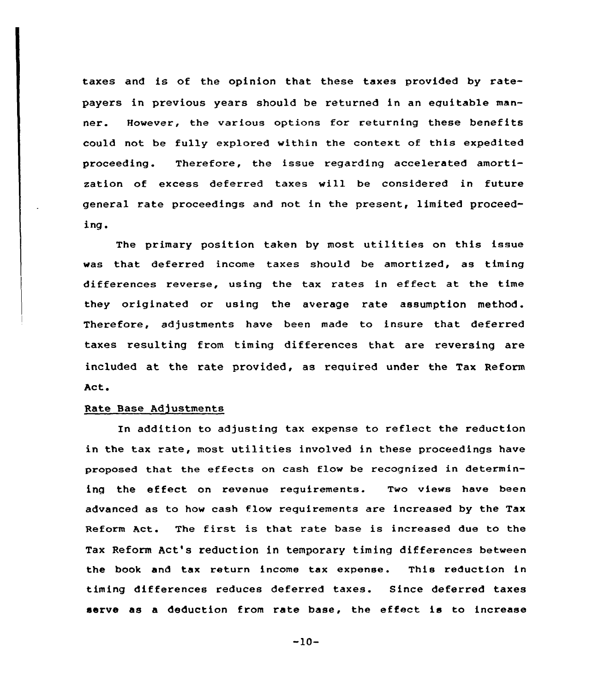taxes and is of the opinion that these taxes provided by ratepayers in previous years should be returned in an equitable manner. However, the various options for returning these benefits could not be fully explored within the context of this expedited proceeding. Therefore, the issue regarding accelerated amortization of excess deferred taxes will be considered in future general rate proceedings and not in the present, limited proceeding.

The primary position taken by most utilities on this issue was that deferred income taxes should be amortized, as timing differences reverse, using the tax rates in effect at the time they originated or using the average rate assumption method. Therefore, adjustments have been made to insure that deferred taxes resulting from timing differences that are reversing are included at the rate provided, as required under the Tax Reform Act.

## Rate Base Adjustments

In addition to adjusting tax expense to reflect the reduction in the tax rate, most utilities involved in these proceedings have proposed that the effects on cash flow be recognized in determining the effect on revenue requirements. Two views have been advanced as to how cash flow requirements are increased by the Tax Reform Act. The first is that rate base is increased due to the Tax Reform Act's reduction in temporary timing differences between the book and tax return income tax expense. This reduction in timing differences reduces deferred taxes. Since deferred taxes serve as a deduction from rate base, the effect is to increase

 $-10-$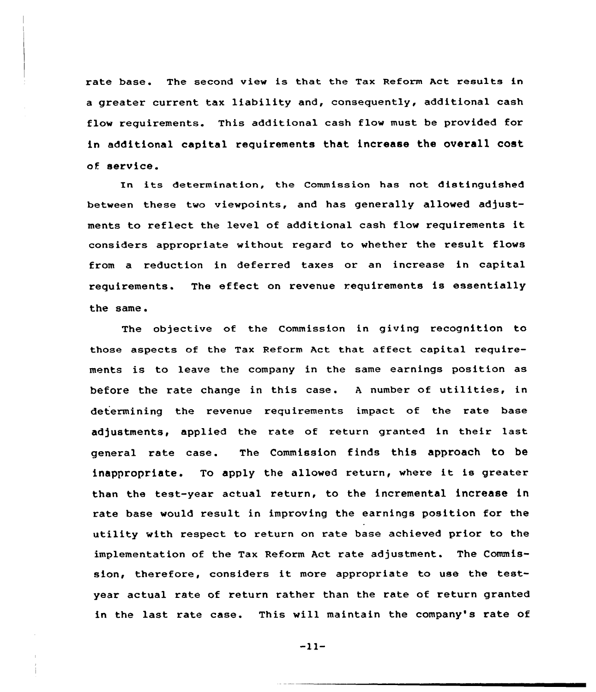rate base. The second view is that the Tax Reform Act results in a greater current tax liability and, consequently, additional cash flow requirements. This additional cash flow must be provided for in additional capital requirements that increase the overall cost of service.

In its determination, the Commission has not distinguished between these two viewpoints, and has generally allowed adjustments to reflect the level of additional cash flow requirements it considers appropriate without regard to whether the result flows from a reduction in deferred taxes or an increase in capital requirements. The effect on revenue requirements is essentially the same.

The objective of the Commission in giving recognition to those aspects of the Tax Reform Act that affect capital requirements is to leave the company in the same earnings position as before the rate change in this case. <sup>A</sup> number of utilities, in determining the revenue requirements impact of the rate base adjustments, applied the rate of return granted in their last general rate case. The Commission finds this approach to be inappropriate. To apply the allowed return, where it is greater than the test-year actual return, to the incremental increase in rate base would result in improving the earnings position for the utility with respect to return on rate base achieved prior to the implementation of the Tax Reform Act rate adjustment. The Commission, therefore, considers it more appropriate to use the testyear actual rate of return rather than the rate of return granted in the last rate case. This will maintain the company's rate of

 $-11-$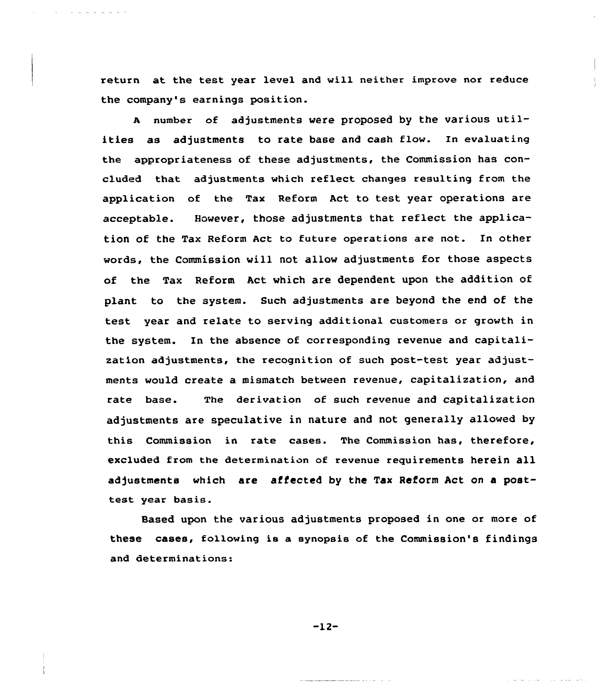return at the test year level and will neither improve nor reduce the company's earnings position.

<sup>A</sup> number of adjustments were proposed by the various utilities as adjustments to rate base and cash flow. In evaluating the appropriateness of these adjustments, the Commission has concluded that adjustments which reflect changes resulting from the application of the Tax Reform Act to test year operations are acceptable. However, those adjustments that reflect the application of the Tax Reform Act to future operations are not. In other words, the Commission will not, allow adjustments for those aspects of the Tax Reform Aet which are dependent upon the addition of plant to the system. Such adjustments are beyond the end of the test year and relate to serving additional customers or growth in the system. In the absence of corresponding revenue and capitalization adjustments, the recognition of such post-test year adjustments would create a mismatch between revenue, capitalization, and rate base. The derivation of such revenue and capitalization adjustments are speculative in nature and not generally allowed by this Commission in rate cases. The Commission has, therefore, excluded from the determinatian of revenue requirements herein all adjustments which are affected by the Tax Reform Act on a posttest year basis.

Based upon the various adjustments proposed in one or more of these eases, following is a synopsis of the Commission's findings and determinations:

 $-12-$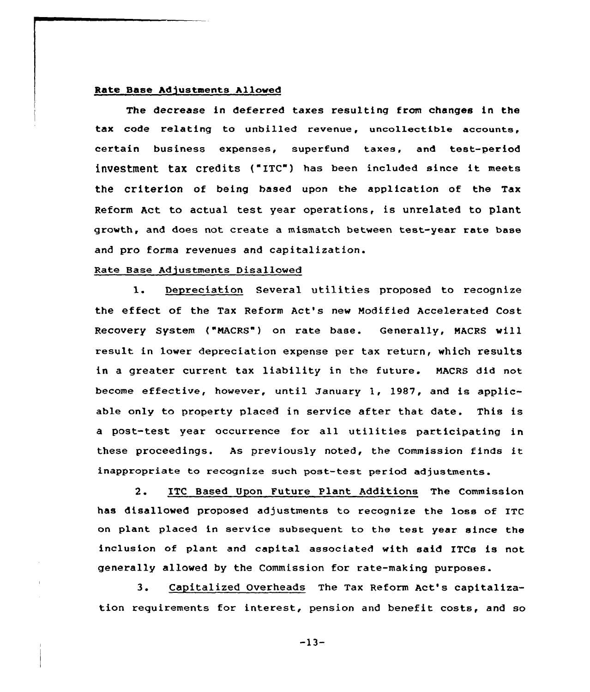## Rate Base Adjustments Allowed

The decrease in deferred taxes resulting from changes in the tax code relating to unbilled revenue, uncollectible accounts, certain business expenses, superfund taxes, and test-period inVeStment taX credits {"ETC") has been included since it meets the criterion of being based upon the application of the Tax Reform Act to actual test year operations, is unrelated to plant growth, and does not create a mismatch between test-year rate base and pro forma revenues and capitalization.

## Rate Base Adjustments Disallowed

1. Depreciation Several utilities proposed to recognize the effect of the Tax Reform Act's new Modified Accelerated Cost Recovery System ("NACRS") on rate base. Generally, MACRS will result in lower depreciation expense per tax return, which results in a greater current tax liability in the future. MACRS did not become effective, however, until January 1, 1987, and is applicable only to property placed in service after that date. This is <sup>a</sup> post-test year occurrence for all utilities participating in these proceedings. As previously noted, the Commission finds it inappropriate to recognize such post-test period adjustments.

2. ETC Based Upon Future Plant Additions The Commission has disallowed proposed adjustments to recognize the loss of ITC on plant placed in service subsequent to the test year since the inclusion of plant and capital associated with said ITCs is not generally allowed by the Commission for rate-making purposes.

3. Capitalized Overheads The Tax Reform Act's capitalization requirements for interest, pension and benefit costs, and so

-13-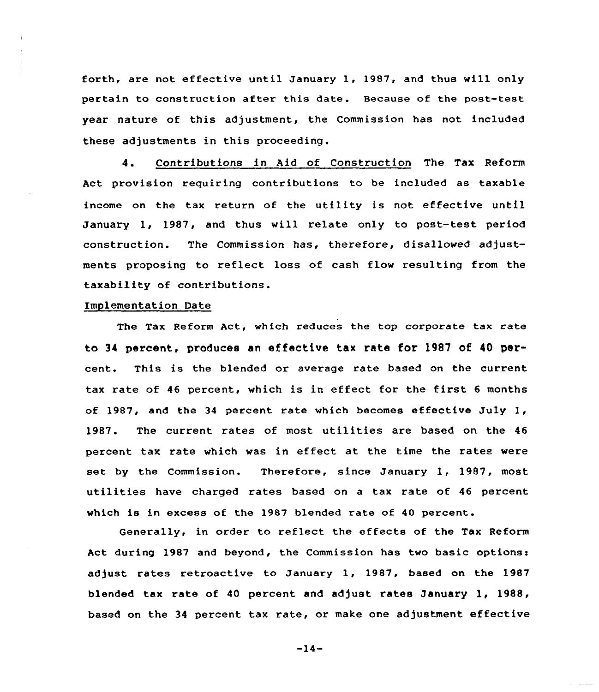forth, are not effective until January 1, 1987, and thus will only pertain to construction after this date. Because of the post-test year nature of this adjustment, the Commission has not included these adjustments in this proceeding.

4. Contributions in Aid of Construction The Tax Reform Act provision requiring contributions to be included as taxable income on the tax return of the utility is not effective until January 1, 1987, and thus vill relate only to post-test period construction. The Commission has, therefore, disallowed adjustments proposing to reflect loss of cash flow resulting from the taxability of contributions.

# Implementation Date

The Tax Reform Act, which reduces the top corporate tax rate to 34 percent, produces an effective tax rate for 1987 of 40 percent. This is the blended or average rate based on the current tax rate of <sup>46</sup> percent, which is in effect for the first <sup>6</sup> months of 1987, and the 34 percent rate which becomes effective July  $1$ , 1987. The current rates of most utilities are based on the <sup>46</sup> percent tax rate which was in effect at the time the rates were set by the Commission. Therefore, since January 1, 1987, most utilities have charged rates based on <sup>a</sup> tax rate of 46 percent which is in excess of the 1987 blended rate of 40 percent.

Generally, in order to reflect the effects of the Tax Reform Act during 1987 and beyond, the Commission has two basic options: adjust rates retroactive to January 1, 1987, based on the 1987 blended tax rate of 40 percent and adjust rates January 1, 1988, based on the 34 percent tax rate, or make one adjustment effective

 $-14-$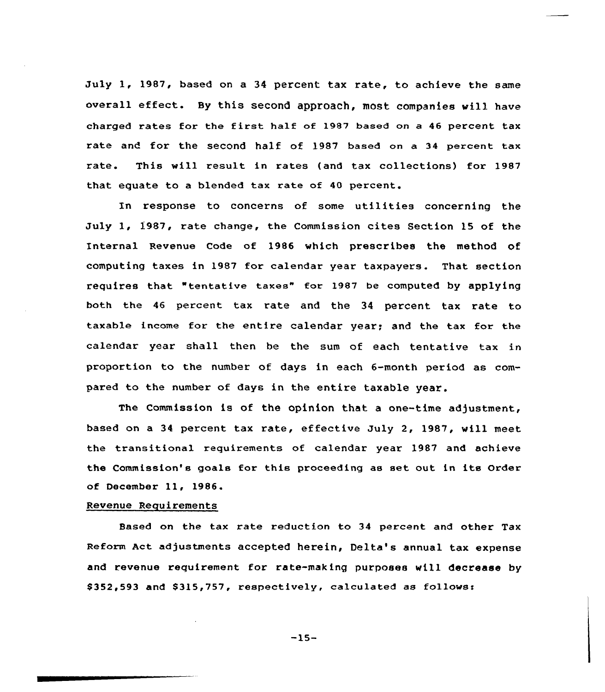July 1, 1987, based on a 34 percent tax rate, to achieve the same overall effect. By this second approach, most companies will have charged rates for the first half of 1987 based on <sup>a</sup> <sup>46</sup> percent tax rate and for the second half of 1987 based on a 34 percent tax rate. This will result in rates (and tax collections) for 1987 that equate to a blended tax rate of 40 percent.

In response to concerns of some utilities concerning the July 1, 1987, rate change, the Commission cites Section 15 of the Internal Revenue Code of 1986 which prescribes the method of computing taxes in 1987 for calendar year taxpayers. That section requires that "tentative taxee" far 1987 be computed by applying both the 46 percent tax rate and the 34 percent tax rate to taxable income for the entire calendar year; and the tax for the calendar year shall then be the sum of each tentative tax in proportion to the number of days in each 6-month period as compared to the number of days in the entire taxable year.

The Commission is of the opinion that a one-time adjustment, based an a 34 percent tax rate, effective July 2, 1987, will meet the transitional requirements af calendar year 1987 and achieve the Commission's goals for this proceeding as set out in its Order of December 11, 1986.

# Revenue Requirements

Based on the tax rate reductian to 34 percent and other Tax Reform Act adjustments accepted herein, Delta's annual tax expense and revenue requirement for rate-making purposes will decrease by \$352,593 and \$315,757, respectively, calculated as follows:

-15-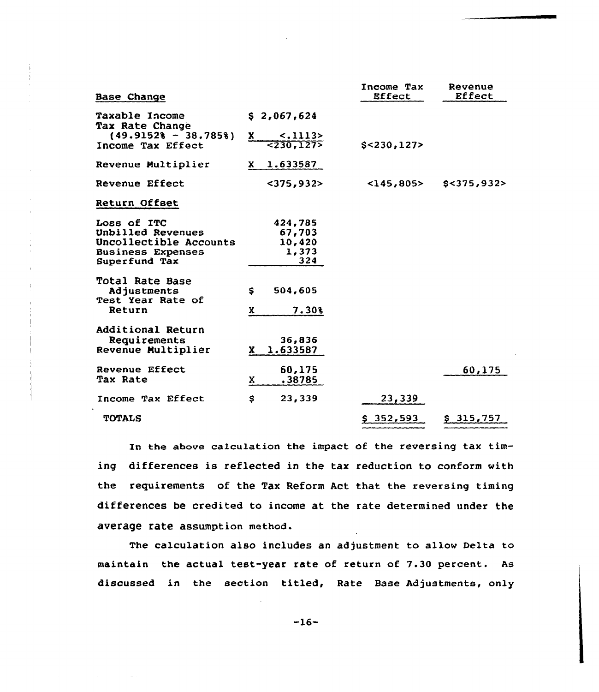| Base Change                                                                                             |        |                                             | Income Tax<br>Effect | Revenue<br>Effect |
|---------------------------------------------------------------------------------------------------------|--------|---------------------------------------------|----------------------|-------------------|
| Taxable Income<br>Tax Rate Change                                                                       |        | \$2,067,624                                 |                      |                   |
| $(49.91528 - 38.7858)$<br>Income Tax Effect                                                             | x      | $-.1113>$<br>5230,1275                      | $$<$ 230,127>        |                   |
| Revenue Multiplier                                                                                      | X.     | 1.633587                                    |                      |                   |
| Revenue Effect                                                                                          |        | $<$ 375,932>                                | $<$ 145,805>         | S < 375,932       |
| Return Offset                                                                                           |        |                                             |                      |                   |
| Loss of ITC<br>Unbilled Revenues<br>Uncollectible Accounts<br><b>Business Expenses</b><br>Superfund Tax |        | 424,785<br>67,703<br>10,420<br>1,373<br>324 |                      |                   |
| Total Rate Base<br>Adjustments<br>Test Year Rate of<br>Return                                           | s<br>x | 504,605<br>7.30%                            |                      |                   |
| Additional Return<br>Requirements<br>Revenue Multiplier                                                 | X.     | 36.836<br>1.633587                          |                      |                   |
| Revenue Effect<br><b>Tax Rate</b>                                                                       | X      | 60,175<br>.38785                            |                      | 60,175            |
| Income Tax Effect                                                                                       | \$     | 23,339                                      | 23,339               |                   |
| <b>TOTALS</b>                                                                                           |        |                                             | \$352,593            | \$315,757         |

In the above calculation the impact of the reversing tax timing differences is reflected in the tax reduction to conform with the requirements of the Tax Reform Act that the reversing timing differences be credited to income at the rate determined under the average rate assumption method.

The calculation also includes an adjustment to allow Delta to maintain the actual test-year rate of return of 7.30 percent. As discussed in the section titled, Rate Base Adjustments, only

-16-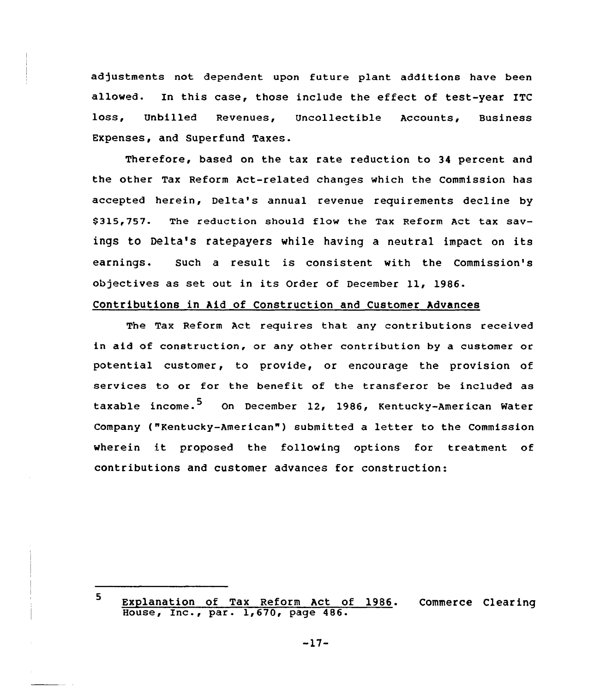adjustments not dependent upon future plant additions have been allowed. In this case, those include the effect of test-year ITC loss, Unbilled Revenues, Uncollectible Accounts, Business Expenses, and Superfund Taxes.

Therefore, based on the tax rate reduction to 34 percent and the other Tax Reform Act-related changes which the Commission has accepted herein, Delta's annual revenue requirements decline by \$ 315,757. The reduction should flow the Tax Reform Act tax savings to Delta's ratepayers while having a neutral impact on its earnings. Such a result is consistent with the Commission's objectives as set out in its Order of December 11, 1986.

# Contributions in Aid of Construction and Customer Advances

The Tax Reform Act requires that any contributions received in aid of construction, or any other contribution by a customer or potential customer, to provide, or encourage the provision of services to or for the benefit of the transferor be included as taxable income.<sup>5</sup> On December 12, 1986, Kentucky-American Water Company ("Kentucky-American" ) submitted <sup>a</sup> letter to the Commission wherein it proposed the following options for treatment of contributions and customer advances for construction:

<sup>5</sup> Explanation of Tax Reform Act of 1986. Commerce Clearin Explaination of lax Reform ACC 0<br>House, Inc., par. 1,670, page 486.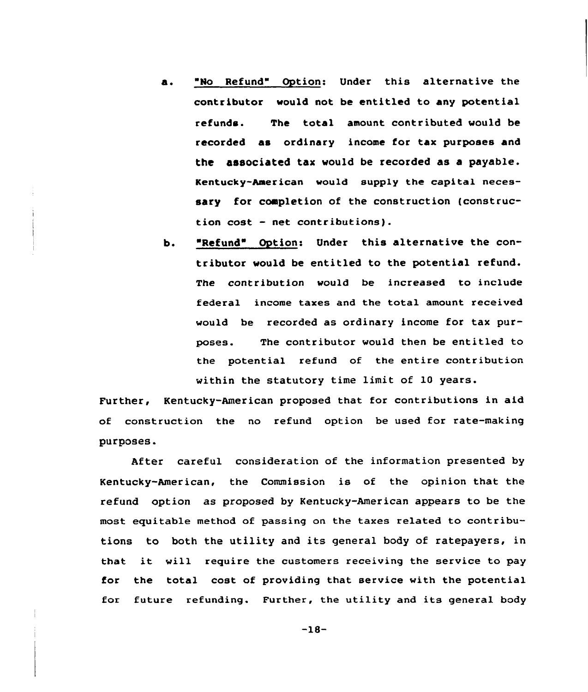- a. "No Refund" Option: Under this alternative the contributor would not, be entitled to any potential refunds. The total amount contributed would be recorded as ordinary income for tax purposes and the associated tax would be recorded as a payable. Kentucky-American would supply the capital necessary for completion of the construction (construction cost — net contributions).
- b. "Refund" Option: Under this alternative the contributor would be entitled to the potential refund. The contribution would be increased to include federal income taxes and the total amount received would be recorded as ordinary income for tax purposes. The contributor would then be entitled to the potential refund of the entire contribution within the statutory time limit of 10 years.

Further, Kentucky-American proposed that for contributions in aid of construction the no refund option be used for rate-making purposes.

After careful consideration of the information presented by Kentucky-American, the Commission is of the opinion that the refund option as proposed by Kentucky-American appears to be the most equitable method of passing on the taxes related to contributions to both the utility and its general body of ratepayers, in that it will require the customers receiving the service to pay for the total cost of providing that service with the potential for future refunding. Further, the utility and its general body

-18-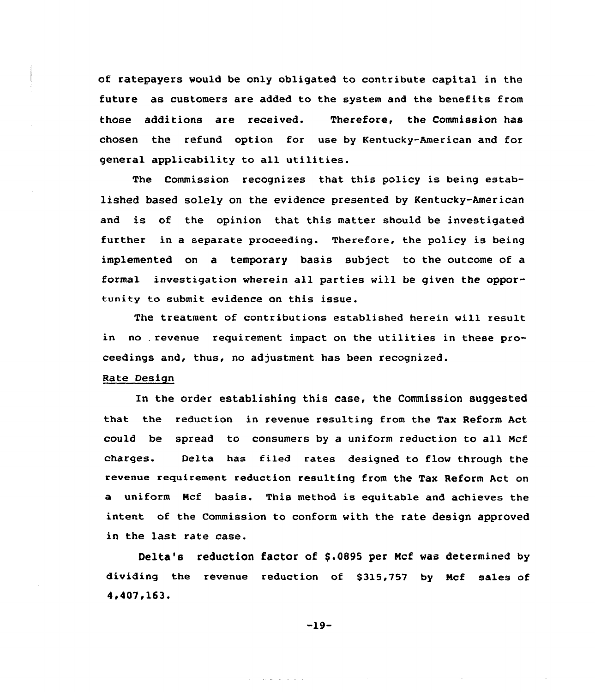of ratepayers would be only obligated to contribute capital in the future as customers are added to the system and the benefits from those additians are received. Therefore, the Commission has chosen the refund option for use by Kentucky-American and for general applicability to all utilities.

The Commission recognizes that this policy is being established based solely on the evidence presented by Kentucky-American and is of the opinion that this matter should be investigated further in a separate proceeding. Therefore, the policy is being implemented on a temporary basis subject to the outcome of a formal investigation wherein all parties will be given the opportunity to submit evidence an this issue.

The treatment of contributions established herein will result in no revenue requirement impact on the utilities in these proceedings and, thus, no adjustment has been recognized.

# Rate Design

In the order establishing this case, the Commission suggested that the reduction in revenue resulting from the Tax Reform Act could be spread to consumers by a uniform reduction to all Mcf charges. De1ta has filed rates designed to flow through the revenue requirement reduction resulting from the Tax Reform Act on a uniform Ncf basis. This method is equitable and achieves the intent of the Commission to conform with the rate design approved in the last rate case.

Delta's reduction factor of \$.0895 per Mcf was determined by dividing the revenue reduction of \$315,757 by Mcf sales of 4.407.163.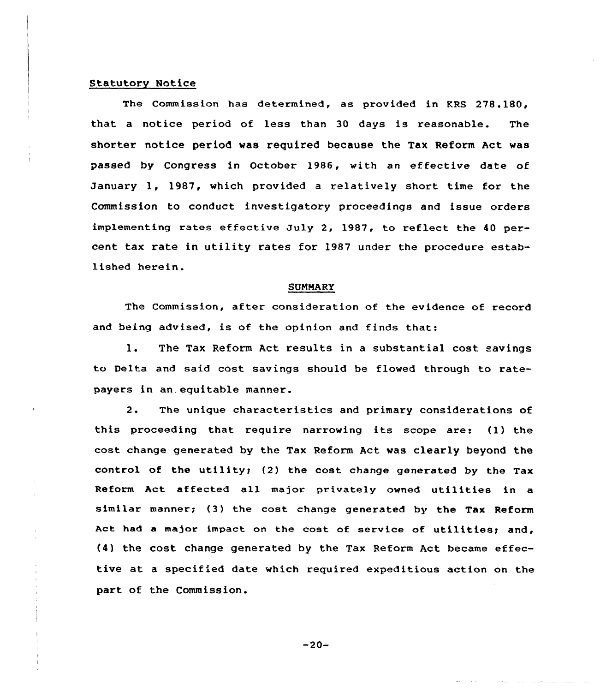# Statutory Notice

The Commission has determined, as provided in KRS 278.180, that a notice period of less than 30 days is reasonable. The shorter notice period was required because the Tax Reform Act was passed by Congress in October 1986, with an effective date of January 1, 1987, which provided <sup>a</sup> relatively short time for the Commission to conduct investigatory proceedings and issue orders implementing rates effective July 2, 1987, to reflect the 40 percent tax rate in utility rates for 1987 under the procedure established herein.

#### SUMMARY

The Commission, after consideration of the evidence of record and being advised, is of the opinion and finds that:

1. The Tax Reform Act results in <sup>a</sup> substantial cost savings to Delta and said cost savings should be flowed through to ratepayers in an. equitable manner.

2. The unique characteristics and primary considerations of this proceeding that require narrowing its scope are: (1) the cost change generated by the Tax Reform Act was clearly beyond the control of the utility; (2) the cost change generated by the Tax Reform Act affected all major privately owned utilities in a similar manner; (3) the cost change generated by the Tax Reform Act had a major impact on the cost of service of utilities; and, (4} the cost change generated by the Tax Reform Act became effective at a specified date which required expeditious action on the part of the Commission.

 $-20-$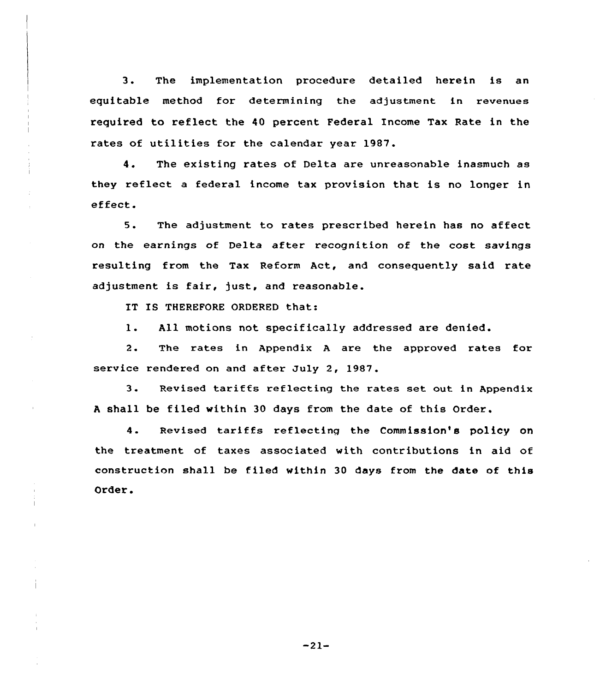3. The implementation procedure detailed herein is an equitable method for determining the adjustment in revenues required to reflect the 40 percent Federal Income Tax Rate in the rates of utilities for the calendar year 1987.

4. The existing rates of Delta are unreasonable inasmuch as they reflect <sup>a</sup> federal income tax provision that is no longer in effect.

5. The adjustment to rates prescribed herein has no affect on the earnings of Delta after recognition of the cost savings resulting from the Tax Reform Act, and consequently said rate adjustment is fair, just, and reasonable.

IT IS THEREFORE ORDERED that:

l. All motions not specifically addressed are denied.

2. The rates in Appendix <sup>A</sup> are the approved rates for service rendered on and after July 2, 1987.

3. Revised tariffs reflecting the rates set out in Appendix <sup>A</sup> shall be filed within 30 days from the date of this Order.

4. Revised tariffs reflecting the Commission's policy on the treatment of taxes associated with contributions in aid of construction shall be filed within 30 days from the date of this Order.

-21-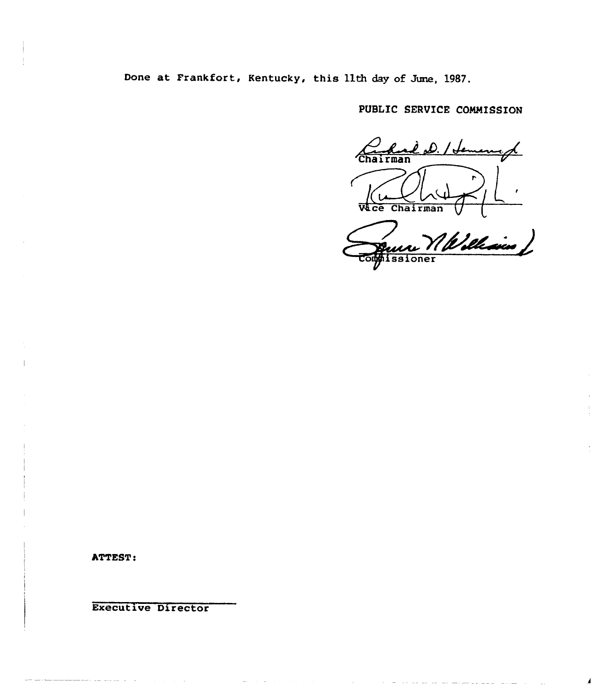Done at Frankfort, Kentucky, this 11th day of June, 1987.

PUBLIC SERVICE COMMISSION

<u>had D. / Jemenge</u> Wace Chairman

un William

 $\overline{1}$ 

ATTEST:

Executive Director